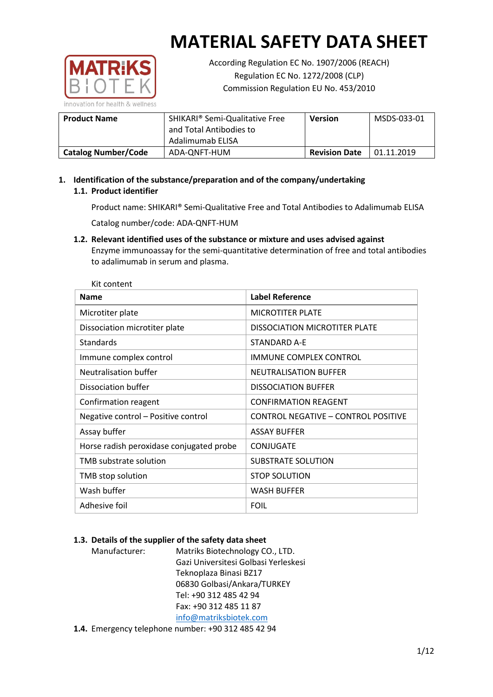

According Regulation EC No. 1907/2006 (REACH) Regulation EC No. 1272/2008 (CLP) Commission Regulation EU No. 453/2010

| <b>Product Name</b>        | SHIKARI <sup>®</sup> Semi-Qualitative Free<br>and Total Antibodies to<br>Adalimumab ELISA | <b>Version</b>       | MSDS-033-01 |
|----------------------------|-------------------------------------------------------------------------------------------|----------------------|-------------|
|                            |                                                                                           |                      |             |
| <b>Catalog Number/Code</b> | ADA-ONFT-HUM                                                                              | <b>Revision Date</b> | 01.11.2019  |

## **1. Identification of the substance/preparation and of the company/undertaking 1.1. Product identifier**

Product name: SHIKARI® Semi-Qualitative Free and Total Antibodies to Adalimumab ELISA

Catalog number/code: ADA-QNFT-HUM

**1.2. Relevant identified uses of the substance or mixture and uses advised against** Enzyme immunoassay for the semi-quantitative determination of free and total antibodies to adalimumab in serum and plasma.

| Kit content                              |                                      |
|------------------------------------------|--------------------------------------|
| <b>Name</b>                              | <b>Label Reference</b>               |
| Microtiter plate                         | <b>MICROTITER PLATE</b>              |
| Dissociation microtiter plate            | <b>DISSOCIATION MICROTITER PLATE</b> |
| Standards                                | <b>STANDARD A-F</b>                  |
| Immune complex control                   | <b>IMMUNE COMPLEX CONTROL</b>        |
| Neutralisation buffer                    | <b>NEUTRALISATION BUFFER</b>         |
| Dissociation buffer                      | <b>DISSOCIATION BUFFER</b>           |
| Confirmation reagent                     | <b>CONFIRMATION REAGENT</b>          |
| Negative control - Positive control      | CONTROL NEGATIVE - CONTROL POSITIVE  |
| Assay buffer                             | <b>ASSAY BUFFER</b>                  |
| Horse radish peroxidase conjugated probe | <b>CONJUGATE</b>                     |
| TMB substrate solution                   | <b>SUBSTRATE SOLUTION</b>            |
| TMB stop solution                        | <b>STOP SOLUTION</b>                 |
| Wash buffer                              | <b>WASH BUFFER</b>                   |
| Adhesive foil                            | <b>FOIL</b>                          |

## **1.3. Details of the supplier of the safety data sheet**

Manufacturer: Matriks Biotechnology CO., LTD. Gazi Universitesi Golbasi Yerleskesi Teknoplaza Binasi BZ17 06830 Golbasi/Ankara/TURKEY Tel: +90 312 485 42 94 Fax: +90 312 485 11 87 [info@matriksbiotek.com](mailto:info@matriksbiotek.com)

**1.4.** Emergency telephone number: +90 312 485 42 94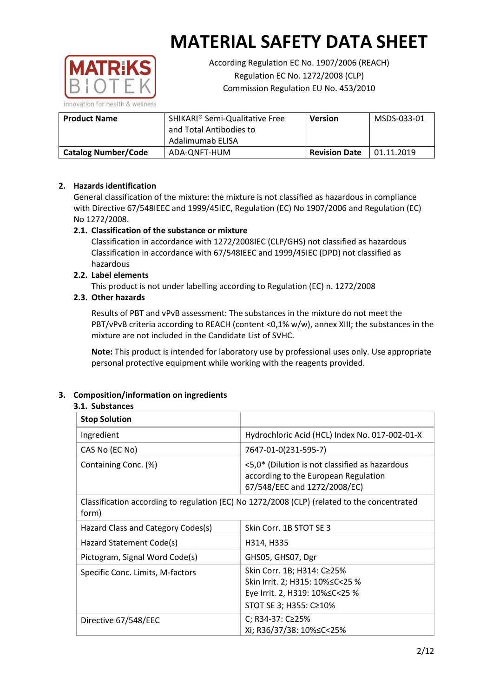

According Regulation EC No. 1907/2006 (REACH) Regulation EC No. 1272/2008 (CLP) Commission Regulation EU No. 453/2010

| <b>Product Name</b>        | SHIKARI <sup>®</sup> Semi-Qualitative Free<br>and Total Antibodies to<br>Adalimumab ELISA | <b>Version</b>       | MSDS-033-01 |
|----------------------------|-------------------------------------------------------------------------------------------|----------------------|-------------|
| <b>Catalog Number/Code</b> | ADA-ONFT-HUM                                                                              | <b>Revision Date</b> | 01.11.2019  |

## **2. Hazards identification**

General classification of the mixture: the mixture is not classified as hazardous in compliance with Directive 67/548IEEC and 1999/45IEC, Regulation (EC) No 1907/2006 and Regulation (EC) No 1272/2008.

## **2.1. Classification of the substance or mixture**

Classification in accordance with 1272/2008IEC (CLP/GHS) not classified as hazardous Classification in accordance with 67/548IEEC and 1999/45IEC (DPD) not classified as hazardous

## **2.2. Label elements**

This product is not under labelling according to Regulation (EC) n. 1272/2008

## **2.3. Other hazards**

Results of PBT and vPvB assessment: The substances in the mixture do not meet the PBT/vPvB criteria according to REACH (content <0,1% w/w), annex XIII; the substances in the mixture are not included in the Candidate List of SVHC.

**Note:** This product is intended for laboratory use by professional uses only. Use appropriate personal protective equipment while working with the reagents provided.

## **3. Composition/information on ingredients**

## **3.1. Substances**

| <b>Stop Solution</b>               |                                                                                                                           |
|------------------------------------|---------------------------------------------------------------------------------------------------------------------------|
| Ingredient                         | Hydrochloric Acid (HCL) Index No. 017-002-01-X                                                                            |
| CAS No (EC No)                     | 7647-01-0(231-595-7)                                                                                                      |
| Containing Conc. (%)               | <5,0* (Dilution is not classified as hazardous<br>according to the European Regulation<br>67/548/EEC and 1272/2008/EC)    |
| form)                              | Classification according to regulation (EC) No 1272/2008 (CLP) (related to the concentrated                               |
| Hazard Class and Category Codes(s) | Skin Corr. 1B STOT SE 3                                                                                                   |
| Hazard Statement Code(s)           | H314, H335                                                                                                                |
| Pictogram, Signal Word Code(s)     | GHS05, GHS07, Dgr                                                                                                         |
| Specific Conc. Limits, M-factors   | Skin Corr. 1B; H314: C≥25%<br>Skin Irrit. 2; H315: 10%≤C<25 %<br>Eye Irrit. 2, H319: 10%≤C<25 %<br>STOT SE 3; H355: C≥10% |
| Directive 67/548/EEC               | C; R34-37: C≥25%<br>Xi; R36/37/38: 10%≤C<25%                                                                              |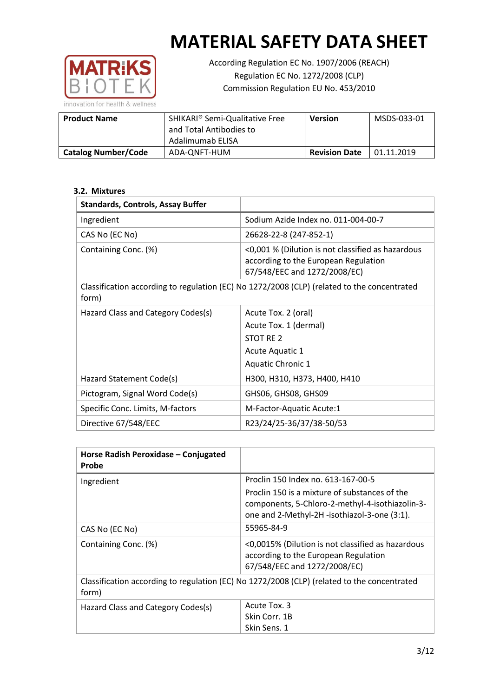

According Regulation EC No. 1907/2006 (REACH) Regulation EC No. 1272/2008 (CLP) Commission Regulation EU No. 453/2010

| <b>Product Name</b>        | SHIKARI <sup>®</sup> Semi-Qualitative Free<br>and Total Antibodies to<br>Adalimumab ELISA | <b>Version</b>       | MSDS-033-01 |
|----------------------------|-------------------------------------------------------------------------------------------|----------------------|-------------|
| <b>Catalog Number/Code</b> | ADA-ONFT-HUM                                                                              | <b>Revision Date</b> | 01.11.2019  |

## **3.2. Mixtures**

| <b>Standards, Controls, Assay Buffer</b> |                                                                                                                           |
|------------------------------------------|---------------------------------------------------------------------------------------------------------------------------|
| Ingredient                               | Sodium Azide Index no. 011-004-00-7                                                                                       |
| CAS No (EC No)                           | 26628-22-8 (247-852-1)                                                                                                    |
| Containing Conc. (%)                     | <0,001 % (Dilution is not classified as hazardous<br>according to the European Regulation<br>67/548/EEC and 1272/2008/EC) |
| form)                                    | Classification according to regulation (EC) No 1272/2008 (CLP) (related to the concentrated                               |
| Hazard Class and Category Codes(s)       | Acute Tox. 2 (oral)                                                                                                       |
|                                          | Acute Tox. 1 (dermal)                                                                                                     |
|                                          | STOT RE 2                                                                                                                 |
|                                          | Acute Aquatic 1                                                                                                           |
|                                          | Aquatic Chronic 1                                                                                                         |
| Hazard Statement Code(s)                 | H300, H310, H373, H400, H410                                                                                              |
| Pictogram, Signal Word Code(s)           | GHS06, GHS08, GHS09                                                                                                       |
| Specific Conc. Limits, M-factors         | M-Factor-Aquatic Acute:1                                                                                                  |
| Directive 67/548/EEC                     | R23/24/25-36/37/38-50/53                                                                                                  |

| Horse Radish Peroxidase - Conjugated<br>Probe |                                                                                                                           |
|-----------------------------------------------|---------------------------------------------------------------------------------------------------------------------------|
| Ingredient                                    | Proclin 150 Index no. 613-167-00-5                                                                                        |
|                                               | Proclin 150 is a mixture of substances of the                                                                             |
|                                               | components, 5-Chloro-2-methyl-4-isothiazolin-3-<br>one and 2-Methyl-2H -isothiazol-3-one (3:1).                           |
| CAS No (EC No)                                | 55965-84-9                                                                                                                |
| Containing Conc. (%)                          | <0,0015% (Dilution is not classified as hazardous<br>according to the European Regulation<br>67/548/EEC and 1272/2008/EC) |
| form)                                         | Classification according to regulation (EC) No 1272/2008 (CLP) (related to the concentrated                               |
| Hazard Class and Category Codes(s)            | Acute Tox. 3                                                                                                              |
|                                               | Skin Corr. 1B                                                                                                             |
|                                               | Skin Sens. 1                                                                                                              |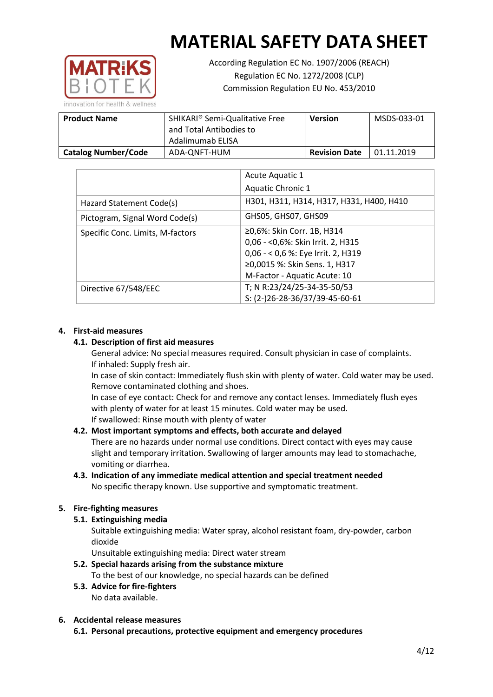

According Regulation EC No. 1907/2006 (REACH) Regulation EC No. 1272/2008 (CLP) Commission Regulation EU No. 453/2010

| <b>Product Name</b>        | SHIKARI <sup>®</sup> Semi-Qualitative Free<br>and Total Antibodies to<br>Adalimumab ELISA | <b>Version</b>       | MSDS-033-01 |
|----------------------------|-------------------------------------------------------------------------------------------|----------------------|-------------|
| <b>Catalog Number/Code</b> | ADA-ONFT-HUM                                                                              | <b>Revision Date</b> | 01.11.2019  |

|                                  | Acute Aquatic 1                          |
|----------------------------------|------------------------------------------|
|                                  | Aquatic Chronic 1                        |
| Hazard Statement Code(s)         | H301, H311, H314, H317, H331, H400, H410 |
| Pictogram, Signal Word Code(s)   | GHS05, GHS07, GHS09                      |
| Specific Conc. Limits, M-factors | ≥0,6%: Skin Corr. 1B, H314               |
|                                  | 0,06 - < 0,6%: Skin Irrit. 2, H315       |
|                                  | 0,06 - < 0,6 %: Eye Irrit. 2, H319       |
|                                  | ≥0,0015 %: Skin Sens. 1, H317            |
|                                  | M-Factor - Aquatic Acute: 10             |
| Directive 67/548/EEC             | T; N R:23/24/25-34-35-50/53              |
|                                  | S: (2-)26-28-36/37/39-45-60-61           |

## **4. First-aid measures**

#### **4.1. Description of first aid measures**

General advice: No special measures required. Consult physician in case of complaints. If inhaled: Supply fresh air.

In case of skin contact: Immediately flush skin with plenty of water. Cold water may be used. Remove contaminated clothing and shoes.

In case of eye contact: Check for and remove any contact lenses. Immediately flush eyes with plenty of water for at least 15 minutes. Cold water may be used. If swallowed: Rinse mouth with plenty of water

## **4.2. Most important symptoms and effects, both accurate and delayed**

There are no hazards under normal use conditions. Direct contact with eyes may cause slight and temporary irritation. Swallowing of larger amounts may lead to stomachache, vomiting or diarrhea.

**4.3. Indication of any immediate medical attention and special treatment needed** No specific therapy known. Use supportive and symptomatic treatment.

## **5. Fire-fighting measures**

**5.1. Extinguishing media**

Suitable extinguishing media: Water spray, alcohol resistant foam, dry-powder, carbon dioxide

Unsuitable extinguishing media: Direct water stream

- **5.2. Special hazards arising from the substance mixture** To the best of our knowledge, no special hazards can be defined
- **5.3. Advice for fire-fighters** No data available.

## **6. Accidental release measures**

**6.1. Personal precautions, protective equipment and emergency procedures**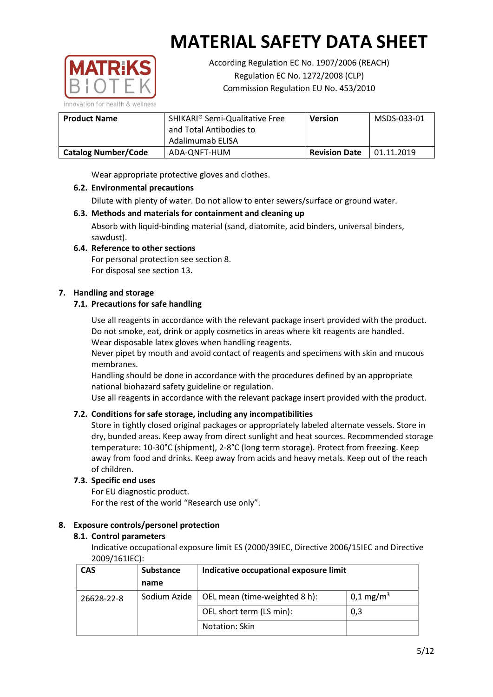

According Regulation EC No. 1907/2006 (REACH) Regulation EC No. 1272/2008 (CLP) Commission Regulation EU No. 453/2010

| <b>Product Name</b>        | SHIKARI <sup>®</sup> Semi-Qualitative Free<br>and Total Antibodies to<br>Adalimumab ELISA | <b>Version</b>       | MSDS-033-01 |
|----------------------------|-------------------------------------------------------------------------------------------|----------------------|-------------|
| <b>Catalog Number/Code</b> | ADA-ONFT-HUM                                                                              | <b>Revision Date</b> | 01.11.2019  |

Wear appropriate protective gloves and clothes.

## **6.2. Environmental precautions**

Dilute with plenty of water. Do not allow to enter sewers/surface or ground water.

## **6.3. Methods and materials for containment and cleaning up**

Absorb with liquid-binding material (sand, diatomite, acid binders, universal binders, sawdust).

## **6.4. Reference to other sections**

For personal protection see section 8. For disposal see section 13.

## **7. Handling and storage**

## **7.1. Precautions for safe handling**

Use all reagents in accordance with the relevant package insert provided with the product. Do not smoke, eat, drink or apply cosmetics in areas where kit reagents are handled. Wear disposable latex gloves when handling reagents.

Never pipet by mouth and avoid contact of reagents and specimens with skin and mucous membranes.

Handling should be done in accordance with the procedures defined by an appropriate national biohazard safety guideline or regulation.

Use all reagents in accordance with the relevant package insert provided with the product.

## **7.2. Conditions for safe storage, including any incompatibilities**

Store in tightly closed original packages or appropriately labeled alternate vessels. Store in dry, bunded areas. Keep away from direct sunlight and heat sources. Recommended storage temperature: 10-30°C (shipment), 2-8°C (long term storage). Protect from freezing. Keep away from food and drinks. Keep away from acids and heavy metals. Keep out of the reach of children.

## **7.3. Specific end uses**

For EU diagnostic product. For the rest of the world "Research use only".

## **8. Exposure controls/personel protection**

## **8.1. Control parameters**

Indicative occupational exposure limit ES (2000/39IEC, Directive 2006/15IEC and Directive 2009/161IEC):

| <b>CAS</b> | Substance    | Indicative occupational exposure limit |                         |
|------------|--------------|----------------------------------------|-------------------------|
|            | name         |                                        |                         |
| 26628-22-8 | Sodium Azide | OEL mean (time-weighted 8 h):          | $0,1 \,\mathrm{mg/m^3}$ |
|            |              | OEL short term (LS min):               | 0,3                     |
|            |              | Notation: Skin                         |                         |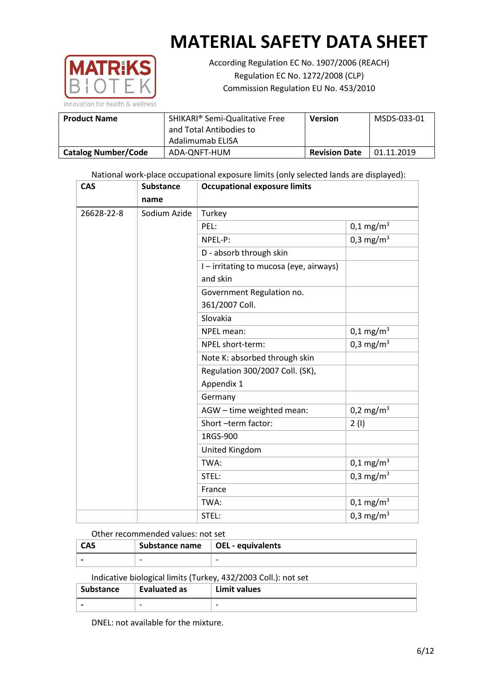

According Regulation EC No. 1907/2006 (REACH) Regulation EC No. 1272/2008 (CLP) Commission Regulation EU No. 453/2010

| <b>Product Name</b>        | <b>SHIKARI<sup>®</sup> Semi-Qualitative Free</b><br>and Total Antibodies to | <b>Version</b>       | MSDS-033-01 |
|----------------------------|-----------------------------------------------------------------------------|----------------------|-------------|
|                            | Adalimumab ELISA                                                            |                      |             |
| <b>Catalog Number/Code</b> | ADA-ONFT-HUM                                                                | <b>Revision Date</b> | 01.11.2019  |

National work-place occupational exposure limits (only selected lands are displayed):

| <b>CAS</b> | <b>Substance</b> | <b>Occupational exposure limits</b>                 |                         |  |
|------------|------------------|-----------------------------------------------------|-------------------------|--|
|            | name             |                                                     |                         |  |
| 26628-22-8 | Sodium Azide     | Turkey                                              |                         |  |
|            |                  | PEL:                                                | $0,1 \,\mathrm{mg/m^3}$ |  |
|            |                  | NPEL-P:                                             | $0,3 \text{ mg/m}^3$    |  |
|            |                  | D - absorb through skin                             |                         |  |
|            |                  | I - irritating to mucosa (eye, airways)<br>and skin |                         |  |
|            |                  | Government Regulation no.                           |                         |  |
|            |                  | 361/2007 Coll.                                      |                         |  |
|            |                  | Slovakia                                            |                         |  |
|            |                  | NPEL mean:                                          | $0,1 \text{ mg/m}^3$    |  |
|            |                  | NPEL short-term:                                    | 0,3 mg/m <sup>3</sup>   |  |
|            |                  | Note K: absorbed through skin                       |                         |  |
|            |                  | Regulation 300/2007 Coll. (SK),                     |                         |  |
|            |                  | Appendix 1                                          |                         |  |
|            |                  | Germany                                             |                         |  |
|            |                  | AGW - time weighted mean:                           | $0,2 \text{ mg/m}^3$    |  |
|            |                  | Short -term factor:                                 | 2(1)                    |  |
|            |                  | 1RGS-900                                            |                         |  |
|            |                  | United Kingdom                                      |                         |  |
|            |                  | TWA:                                                | $0,1 \text{ mg/m}^3$    |  |
|            |                  | STEL:                                               | 0,3 mg/m <sup>3</sup>   |  |
|            |                  | France                                              |                         |  |
|            |                  | TWA:                                                | $0,1 \text{ mg/m}^3$    |  |
|            |                  | STEL:                                               | 0,3 mg/m <sup>3</sup>   |  |

#### Other recommended values: not set

| <b>CAS</b> | Substance name   OEL - equivalents |  |
|------------|------------------------------------|--|
|            | $\overline{\phantom{0}}$           |  |

Indicative biological limits (Turkey, 432/2003 Coll.): not set

| <b>Substance</b> | Evaluated as | Limit values             |
|------------------|--------------|--------------------------|
| -                | -            | $\overline{\phantom{0}}$ |

DNEL: not available for the mixture.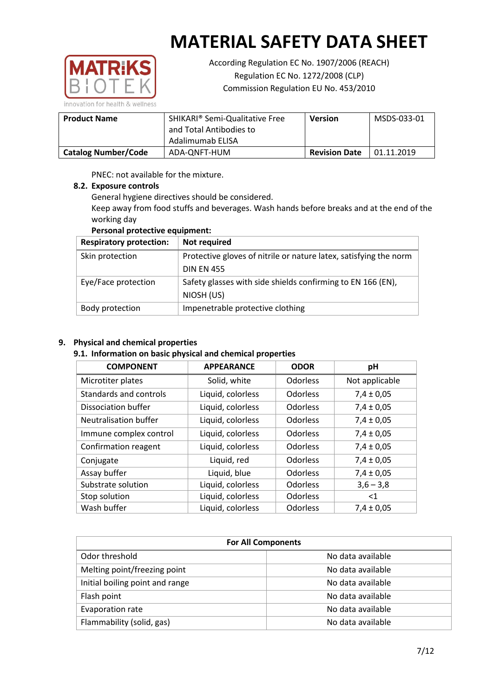

According Regulation EC No. 1907/2006 (REACH) Regulation EC No. 1272/2008 (CLP) Commission Regulation EU No. 453/2010

| <b>Product Name</b>        | SHIKARI <sup>®</sup> Semi-Qualitative Free<br>and Total Antibodies to<br>Adalimumab ELISA | <b>Version</b>       | MSDS-033-01 |
|----------------------------|-------------------------------------------------------------------------------------------|----------------------|-------------|
| <b>Catalog Number/Code</b> | ADA-ONFT-HUM                                                                              | <b>Revision Date</b> | 01.11.2019  |

PNEC: not available for the mixture.

#### **8.2. Exposure controls**

General hygiene directives should be considered.

Keep away from food stuffs and beverages. Wash hands before breaks and at the end of the working day

## **Personal protective equipment:**

| <b>Respiratory protection:</b> | Not required                                                      |
|--------------------------------|-------------------------------------------------------------------|
| Skin protection                | Protective gloves of nitrile or nature latex, satisfying the norm |
|                                | <b>DIN EN 455</b>                                                 |
| Eye/Face protection            | Safety glasses with side shields confirming to EN 166 (EN),       |
|                                | NIOSH (US)                                                        |
| Body protection                | Impenetrable protective clothing                                  |

#### **9. Physical and chemical properties**

#### **9.1. Information on basic physical and chemical properties**

| <b>COMPONENT</b>       | <b>APPEARANCE</b> | <b>ODOR</b> | pH             |
|------------------------|-------------------|-------------|----------------|
| Microtiter plates      | Solid, white      | Odorless    | Not applicable |
| Standards and controls | Liquid, colorless | Odorless    | $7,4 \pm 0,05$ |
| Dissociation buffer    | Liquid, colorless | Odorless    | $7,4 \pm 0,05$ |
| Neutralisation buffer  | Liquid, colorless | Odorless    | $7,4 \pm 0,05$ |
| Immune complex control | Liquid, colorless | Odorless    | $7,4 \pm 0,05$ |
| Confirmation reagent   | Liquid, colorless | Odorless    | $7,4 \pm 0,05$ |
| Conjugate              | Liquid, red       | Odorless    | $7,4 \pm 0,05$ |
| Assay buffer           | Liquid, blue      | Odorless    | $7,4 \pm 0,05$ |
| Substrate solution     | Liquid, colorless | Odorless    | $3,6 - 3,8$    |
| Stop solution          | Liquid, colorless | Odorless    | $\leq 1$       |
| Wash buffer            | Liquid, colorless | Odorless    | $7,4 \pm 0,05$ |

| <b>For All Components</b>       |                   |  |  |
|---------------------------------|-------------------|--|--|
| Odor threshold                  | No data available |  |  |
| Melting point/freezing point    | No data available |  |  |
| Initial boiling point and range | No data available |  |  |
| Flash point                     | No data available |  |  |
| Evaporation rate                | No data available |  |  |
| Flammability (solid, gas)       | No data available |  |  |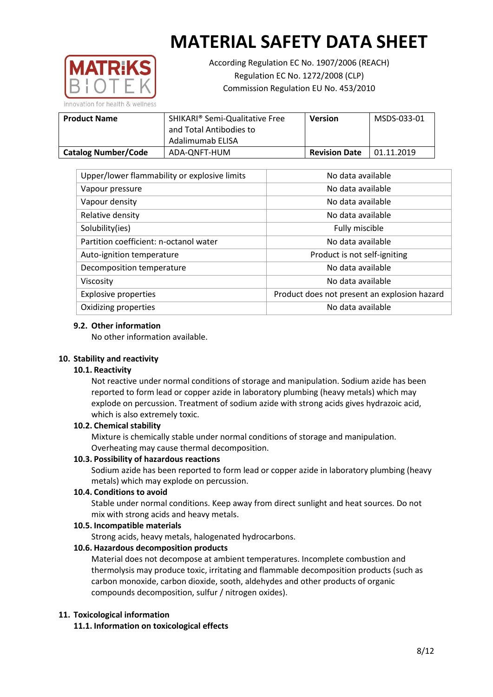

According Regulation EC No. 1907/2006 (REACH) Regulation EC No. 1272/2008 (CLP) Commission Regulation EU No. 453/2010

| <b>Product Name</b>        | SHIKARI® Semi-Qualitative Free<br>and Total Antibodies to<br>Adalimumab ELISA | <b>Version</b>       | MSDS-033-01 |
|----------------------------|-------------------------------------------------------------------------------|----------------------|-------------|
| <b>Catalog Number/Code</b> | ADA-ONFT-HUM                                                                  | <b>Revision Date</b> | 01.11.2019  |

| Upper/lower flammability or explosive limits | No data available                            |
|----------------------------------------------|----------------------------------------------|
| Vapour pressure                              | No data available                            |
| Vapour density                               | No data available                            |
| Relative density                             | No data available                            |
| Solubility(ies)                              | Fully miscible                               |
| Partition coefficient: n-octanol water       | No data available                            |
| Auto-ignition temperature                    | Product is not self-igniting                 |
| Decomposition temperature                    | No data available                            |
| Viscosity                                    | No data available                            |
| <b>Explosive properties</b>                  | Product does not present an explosion hazard |
| Oxidizing properties                         | No data available                            |

#### **9.2. Other information**

No other information available.

#### **10. Stability and reactivity**

#### **10.1. Reactivity**

Not reactive under normal conditions of storage and manipulation. Sodium azide has been reported to form lead or copper azide in laboratory plumbing (heavy metals) which may explode on percussion. Treatment of sodium azide with strong acids gives hydrazoic acid, which is also extremely toxic.

#### **10.2. Chemical stability**

Mixture is chemically stable under normal conditions of storage and manipulation. Overheating may cause thermal decomposition.

#### **10.3. Possibility of hazardous reactions**

Sodium azide has been reported to form lead or copper azide in laboratory plumbing (heavy metals) which may explode on percussion.

#### **10.4. Conditions to avoid**

Stable under normal conditions. Keep away from direct sunlight and heat sources. Do not mix with strong acids and heavy metals.

#### **10.5. Incompatible materials**

Strong acids, heavy metals, halogenated hydrocarbons.

## **10.6. Hazardous decomposition products**

Material does not decompose at ambient temperatures. Incomplete combustion and thermolysis may produce toxic, irritating and flammable decomposition products (such as carbon monoxide, carbon dioxide, sooth, aldehydes and other products of organic compounds decomposition, sulfur / nitrogen oxides).

#### **11. Toxicological information**

**11.1. Information on toxicological effects**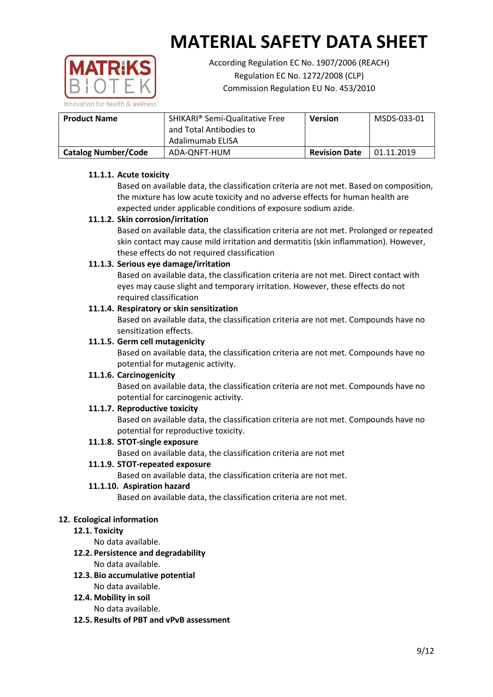

According Regulation EC No. 1907/2006 (REACH) Regulation EC No. 1272/2008 (CLP) Commission Regulation EU No. 453/2010

| <b>Product Name</b>        | SHIKARI® Semi-Qualitative Free<br>and Total Antibodies to<br>Adalimumab ELISA | Version              | MSDS-033-01 |
|----------------------------|-------------------------------------------------------------------------------|----------------------|-------------|
| <b>Catalog Number/Code</b> | ADA-ONFT-HUM                                                                  | <b>Revision Date</b> | 01.11.2019  |

## **11.1.1. Acute toxicity**

Based on available data, the classification criteria are not met. Based on composition, the mixture has low acute toxicity and no adverse effects for human health are expected under applicable conditions of exposure sodium azide.

## **11.1.2. Skin corrosion/irritation**

Based on available data, the classification criteria are not met. Prolonged or repeated skin contact may cause mild irritation and dermatitis (skin inflammation). However, these effects do not required classification

## **11.1.3. Serious eye damage/irritation**

Based on available data, the classification criteria are not met. Direct contact with eyes may cause slight and temporary irritation. However, these effects do not required classification

## **11.1.4. Respiratory or skin sensitization**

Based on available data, the classification criteria are not met. Compounds have no sensitization effects.

## **11.1.5. Germ cell mutagenicity**

Based on available data, the classification criteria are not met. Compounds have no potential for mutagenic activity.

## **11.1.6. Carcinogenicity**

Based on available data, the classification criteria are not met. Compounds have no potential for carcinogenic activity.

## **11.1.7. Reproductive toxicity**

Based on available data, the classification criteria are not met. Compounds have no potential for reproductive toxicity.

## **11.1.8. STOT-single exposure**

Based on available data, the classification criteria are not met

#### **11.1.9. STOT-repeated exposure**

Based on available data, the classification criteria are not met.

## **11.1.10. Aspiration hazard**

Based on available data, the classification criteria are not met.

## **12. Ecological information**

## **12.1. Toxicity**

No data available.

## **12.2. Persistence and degradability**

No data available.

## **12.3. Bio accumulative potential**

No data available.

## **12.4. Mobility in soil**

No data available.

**12.5. Results of PBT and vPvB assessment**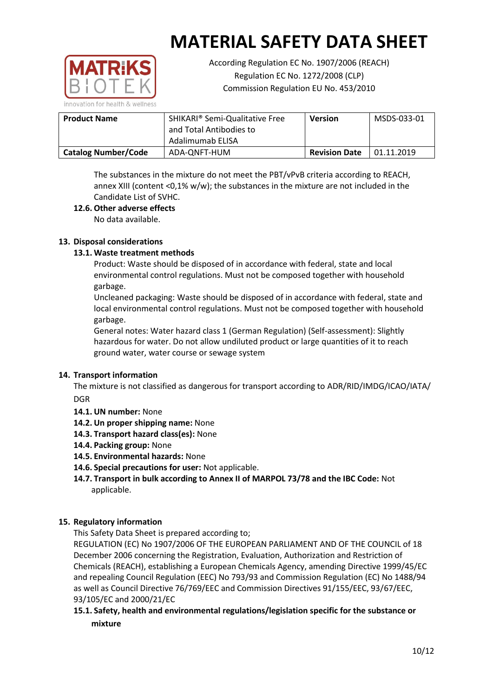

According Regulation EC No. 1907/2006 (REACH) Regulation EC No. 1272/2008 (CLP) Commission Regulation EU No. 453/2010

| <b>Product Name</b>        | SHIKARI <sup>®</sup> Semi-Qualitative Free<br>and Total Antibodies to<br>Adalimumab ELISA | <b>Version</b>       | MSDS-033-01 |
|----------------------------|-------------------------------------------------------------------------------------------|----------------------|-------------|
| <b>Catalog Number/Code</b> | ADA-ONFT-HUM                                                                              | <b>Revision Date</b> | 01.11.2019  |

The substances in the mixture do not meet the PBT/vPvB criteria according to REACH, annex XIII (content < $0.1\%$  w/w); the substances in the mixture are not included in the Candidate List of SVHC.

## **12.6. Other adverse effects**

No data available.

## **13. Disposal considerations**

## **13.1. Waste treatment methods**

Product: Waste should be disposed of in accordance with federal, state and local environmental control regulations. Must not be composed together with household garbage.

Uncleaned packaging: Waste should be disposed of in accordance with federal, state and local environmental control regulations. Must not be composed together with household garbage.

General notes: Water hazard class 1 (German Regulation) (Self-assessment): Slightly hazardous for water. Do not allow undiluted product or large quantities of it to reach ground water, water course or sewage system

## **14. Transport information**

The mixture is not classified as dangerous for transport according to ADR/RID/IMDG/ICAO/IATA/ DGR

- **14.1. UN number:** None
- **14.2. Un proper shipping name:** None
- **14.3. Transport hazard class(es):** None
- **14.4. Packing group:** None
- **14.5. Environmental hazards:** None
- **14.6. Special precautions for user:** Not applicable.
- **14.7. Transport in bulk according to Annex II of MARPOL 73/78 and the IBC Code:** Not applicable.

## **15. Regulatory information**

This Safety Data Sheet is prepared according to;

REGULATION (EC) No 1907/2006 OF THE EUROPEAN PARLIAMENT AND OF THE COUNCIL of 18 December 2006 concerning the Registration, Evaluation, Authorization and Restriction of Chemicals (REACH), establishing a European Chemicals Agency, amending Directive 1999/45/EC and repealing Council Regulation (EEC) No 793/93 and Commission Regulation (EC) No 1488/94 as well as Council Directive 76/769/EEC and Commission Directives 91/155/EEC, 93/67/EEC, 93/105/EC and 2000/21/EC

## **15.1. Safety, health and environmental regulations/legislation specific for the substance or mixture**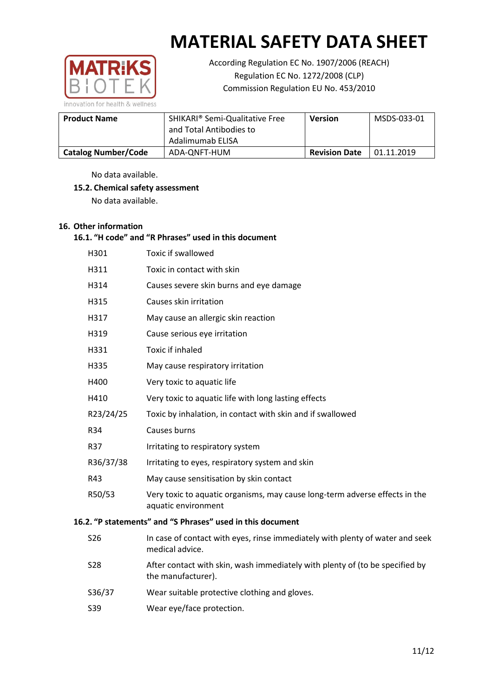

According Regulation EC No. 1907/2006 (REACH) Regulation EC No. 1272/2008 (CLP) Commission Regulation EU No. 453/2010

| <b>Product Name</b>        | SHIKARI <sup>®</sup> Semi-Qualitative Free<br>and Total Antibodies to<br>Adalimumab ELISA | <b>Version</b>       | MSDS-033-01 |
|----------------------------|-------------------------------------------------------------------------------------------|----------------------|-------------|
| <b>Catalog Number/Code</b> | ADA-ONFT-HUM                                                                              | <b>Revision Date</b> | 01.11.2019  |

No data available.

## **15.2. Chemical safety assessment**

No data available.

## **16. Other information**

## **16.1. "H code" and "R Phrases" used in this document**

|                                                            | H301       | <b>Toxic if swallowed</b>                                                                          |  |  |
|------------------------------------------------------------|------------|----------------------------------------------------------------------------------------------------|--|--|
|                                                            | H311       | Toxic in contact with skin                                                                         |  |  |
|                                                            | H314       | Causes severe skin burns and eye damage                                                            |  |  |
|                                                            | H315       | Causes skin irritation                                                                             |  |  |
|                                                            | H317       | May cause an allergic skin reaction                                                                |  |  |
|                                                            | H319       | Cause serious eye irritation                                                                       |  |  |
|                                                            | H331       | <b>Toxic if inhaled</b>                                                                            |  |  |
|                                                            | H335       | May cause respiratory irritation                                                                   |  |  |
|                                                            | H400       | Very toxic to aquatic life                                                                         |  |  |
|                                                            | H410       | Very toxic to aquatic life with long lasting effects                                               |  |  |
|                                                            | R23/24/25  | Toxic by inhalation, in contact with skin and if swallowed                                         |  |  |
|                                                            | R34        | Causes burns                                                                                       |  |  |
|                                                            | <b>R37</b> | Irritating to respiratory system                                                                   |  |  |
|                                                            | R36/37/38  | Irritating to eyes, respiratory system and skin                                                    |  |  |
|                                                            | R43        | May cause sensitisation by skin contact                                                            |  |  |
|                                                            | R50/53     | Very toxic to aquatic organisms, may cause long-term adverse effects in the<br>aquatic environment |  |  |
| 16.2. "P statements" and "S Phrases" used in this document |            |                                                                                                    |  |  |
|                                                            |            |                                                                                                    |  |  |

- S26 In case of contact with eyes, rinse immediately with plenty of water and seek medical advice.
- S28 After contact with skin, wash immediately with plenty of (to be specified by the manufacturer).
- S36/37 Wear suitable protective clothing and gloves.
- S39 Wear eye/face protection.